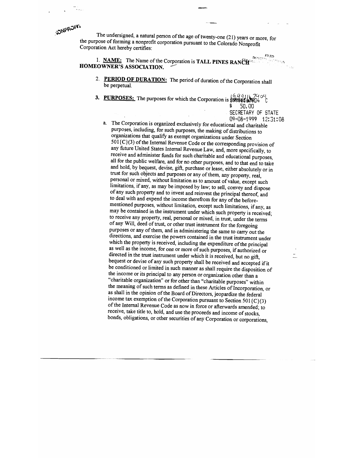The undersigned, a natural person of the age of twenty-one (21) years or more, for<br>the purpose of forming a nonprofit corporation pursuant to the Colorado Nonprofit<br>Corporation Act hereby certifies:

1. NAME: The Name of the Corporation is TALL PINES RANCHERED AND NON-HOMEOWNER'S ASSOCIATION.  $\tau_{\rm 34}$ 

- 2. **PERIOD OF DURATION:** The period of duration of the Corporation shall be perpetual.
- 3. PURPOSES: The purposes for which the Corporation is  $\frac{1}{4}$   $\frac{1}{4}$   $\frac{1}{4}$   $\frac{1}{16}$   $\frac{1}{2}$

 $$50,00$ 

 $FII$ <sub>ED</sub>

SECRETARY OF STATE 09—08—1999 12:31:OS a. The Corporation is organized exclusively for educational and charitable purposes, including, for such purposes, the making of distributions to organizations that qualify as exempt organizations under Section  $501\{C\}(3)$  of the Internal Revenue Code or the corresponding provision of any future United States Internal Revenue Law, and, more specifically, to receive and administer funds for such charitable and educational purposes, all for the public welfare, and for no other purposes, and to that end to take and hold, by bequest, devise, gift, purchase or lease, either absolutely or in trust for such objects and purposes or any of them, any property, real, personal or mixed, without limitation as to amount of value, except such limitations, if any, as may be imposed by law; to sell, convey and dispose of any such property and to invest and reinvest the principal thereof, and to deal with and expend the income therefrom for any of the before-<br>mentioned purposes, without limitation, except such limitations, if any, as may be contained in the instrument under which such property is received;<br>to receive any property, real, personal or mixed, in trust, under the terms of any Will, deed of trust, or other trust instrument for the foregoing directions, and exercise the powers contained in the trust instrument under which the property is received, including the expenditure of the principal as well as the income, for one or more of such purposes, if authorized or directed in the trust instrument under which it is received, but no gift, bequest or devise of any such property shall be received and accepted if it<br>be conditioned or limited in such manner as shall require the disposition of the income or its principal to any person or organization other than a "charitable organization" or for other than "charitable purposes" within as shall in the opinion of the Board of Directors, jeopardize the federal income tax exemption of the Corporation pursuant to Section 501{C}(3) of the Internal Revenue Code as now in force or afterwards amended; to receive, take title to, hold, and use the proceeds and income of stocks, bonds, obligations, or other securities of any Corporation or corporations,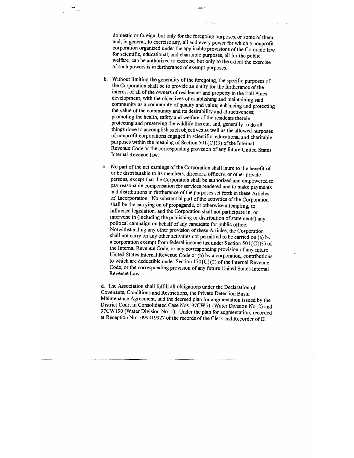domestic or foreign, but only for the foregoing purposes, or some of them; and, in general, to exercise any, all and every power for which a nonprofit corporation organized under the applicable provisions of the Colorado law for scientific, educational, and charitable purposes, all for the public welfare, can be authorized to exercise, but only to the extent the exercise of such powers is in furtherance of exempt purposes.

- b. Without limiting the generality of the foregoing, the specific purposes of the Corporation shall be to provide an entity for the furtherance of the interest of all of the owners of residences and property in the Tall Pines development, with the objectives of establishing and maintaining said community as a community of quality and value; enhancing and protecting the value of the community and its desirability and attractiveness;<br>promoting the health, safety and welfare of the residents therein; protecting and preserving the wildlife therein; and, generally to do all things done to accomplish such objectives as well as the allowed purposes of nonprofit corporations engaged in scientific, educational and charitable purposes within the meaning of Section 501{C}(3) of the Internal Revenue Code or the corresponding provision of any future United States Internal Revenue law.
- c. No part of the net earnings of the Corporation shall inure to the benefit of or be distributable to its members, directors, officers, or other private persons, except that the Corporation shall be authorized and empowered to pay reasonable compensation for services rendered and to make payments and distributions in furtherance of the purposes set forth in these Articles of Incorporation. No substantial part of the activities of the Corporation shall be the carrying on of propaganda, or otherwise attempting, to influence legislation, and the Corporation shall not participate in, or intervene in (including the publishing or distribution of statements) any political campaign on behalf of any candidate for public office. Notwithstanding any other provision of these Articles, the Corporation shall not carry on any other activities not permitted to be carried on (a) by a corporation exempt from federal income tax under Section 501 $(C)$ 3) of the Internal Revenue Code, or any corresponding provision of any future United States Internal Revenue Code or (b) by a corporation, contributions to which are deductible under Section 170{C}(2) of the Internal Revenue Code, or the corresponding provision of any future United States Internal Revenue Law.

d. The Association shall fulfill all obligations under the Declaration of Covenants, Conditions and Restrictions, the Private Detention Basin Maintenance Agreement, and the decreed plan for augmentation issued by the District Court in Consolidated Case Nos. 97CW5 1 (Water Division No. 2) and 97CW 190 (Water Division No. 1). Under the plan for augmentation, recorded at Reception No. 099019927 of the records of the Clerk and Recorder of El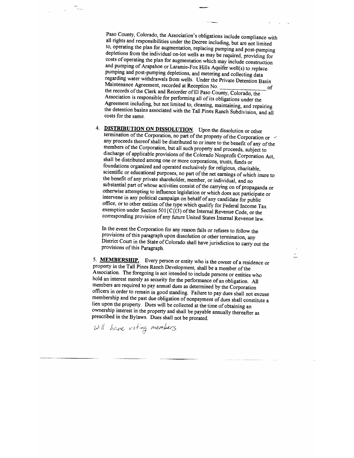Paso County, Colorado, the Association's obligations include compliance with all rights and responsibilities under the Decree including, but are not limited to, operating the plan for augmentation, replacing pumping and post-pumping depletions from the individual on-lot wells as may be required, providing for costs of operating the plan for augmentation which may include construction<br>and pumping of Arapahoe or Laramie-Fox Hills Aquifer well(s) to replace pumping and post-pumping depletions, and metering and collecting data regarding water withdrawals from wells. Under the Private Detention Basin<br>Maintenance Agreement, recorded at Reception No. Maintenance Agreement, recorded at ReceptionNo. \_\_\_\_\_\_\_\_\_\_\_\_\_\_\_\_\_\_ of Association is responsible for performing all of its obligations under the Agreement including, but not limited to, cleaning, maintaining, and repairing the detention basins associated with the Tall Pines Ranch Subdivision, and all costs for the same.

4. **DISTRIBUTION ON DISSOLUTION**. Upon the dissolution or other termination of the Corporation, no part of the property of the Corporation or any proceeds thereof shall be distributed to or inure to the benefit of any of the members of the Corporation, but all such property and proceeds, subject to discharge of applicable provisions of the Colorado Nonprofit Corporation Act, shall be distributed among one or more corporations, trusts, funds or foundations organized and operated exclusively for religious, charitable, scientific or educational purposes, no part of the net earnings of which inure to the benefit of any private shareholder, member, or individual, and no substantial part of whose activities consist of the carrying on of propaganda or otherwise attempting to influence legislation or which does not participate or intervene in any political campaign on behalf of any candidate for public office, or to other entities of the type which qualify for Federal Income Tax exemption under Section 501{C{(3) of the Internal Revenue Code, or the corresponding provision of any future United States Internal Revenue law.

In the event the Corporation for any reason fails or reftises to follow the provisions of this paragraph upon dissolution or other termination, any District Court in the State of Colorado shall have jurisdiction to carry out the provisions of this Paragraph.

5. MEMBERSHIP. Every person or entity who is the owner of a residence or property in the Tall Pines Ranch Development, shall be a member of the Association. The foregoing is not intended to include persons or entities who hold an interest merely as security for the performance of an obligation. All members are required to pay annual dues as determined by the Corporation officers in order to remain in good standing. Failure to pay dues shall not excuse membership and the past due obligation of nonpayment of dues shall constitute a lien upon the property. Dues will be collected at the time of obtaining an ownership interest in the property and shall be payable annually thereafter as prescribed in the Bylaws. Dues shall not be prorated.<br> $|v|| = \frac{1}{2} m \epsilon m \epsilon^2$  is the probability of the property of the property of the property

т., <sub>.</sub>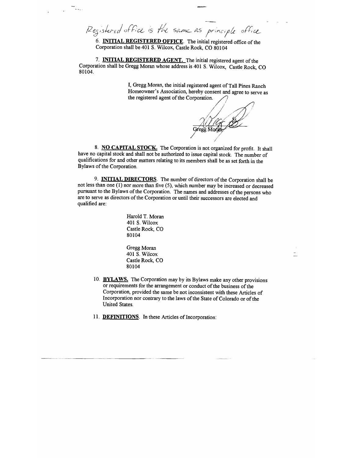Registered office is the same as principle office

6. INITIAL REGISTERED OFFICE. The initial registered office of the Corporation shall be 401 S. Wilcox, Castle Rock, Co 80104

7. INITIAL REGISTERED AGENT. The initial registered agent of the Corporation shall be Gregg Moran whose address is 401 S. Wilcox, Castle Rock, CO 80104.

> I, Gregg Moran, the initial registered agent of Tall Pines Ranch Homeowner's Association, hereby consent and agree to serve as the registered agent of the Corporation.

ALLIOT

8. NO CAPITAL STOCK. The Corporation is not organized for profit. It shall have no capital stock and shall not be authorized to issue capital stock. The number of qualifications for and other matters relating to its members shall be as set forth in the Bylaws of the Corporation.

9. INITIAL DIRECTORS. The number of directors of the Corporation shall be not less than one (1) nor more than five (5), which number may be increased or decreased pursuant to the Bylaws of the Corporation. The names and addresses of the persons who are to serve as directors of the Corporation or until their successors are elected and qualified are:

> Harold T. Moran 401 5. Wilcox Castle Rock, CO 80104

Gregg Moran 401 5. Wilcox Castle Rock, CO 80104

- 10. BYLAWS. The Corporation may by its Bylaws make any other provisions or requirements for the arrangement or conduct of the business of the Corporation, provided the same be not inconsistent with these Articles of Incorporation nor contrary to the laws of the State of Colorado or of the United States.
- 11. DEFINITIONS. In these Articles of Incorporation: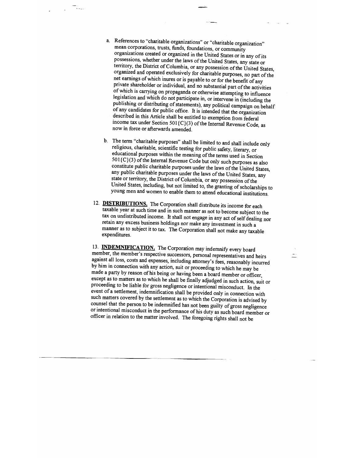a. References to "charitable organizations" or "charitable organization" mean corporations, trusts, funds, foundations, or community organizations created or organized in the United States or in any of its possessions, whether under the laws of the United States, any state or territory, the District of Columbia, or any possession of the United States, organized and operated exclusively for charitable purposes, no part of the<br>net earnings of which inures or is payable to or for the benefit of any<br>private shareholder or individual, and no substantial part of the activitie publishing or distributing of statements), any political campaign on behalf of any candidates for public office. It is intended that the organization described in this Article shall be entitled to exemption from federal income tax under Section 501 (C}(3) of the Internal Revenue Code, as now in force or afterwards amended.

TG.

- b. The term "charitable purposes" shall be limited to and shall include only religious, charitable, scientific testing for public safety, literary, or educational purposes within the meaning of the terms used in Section  $501$  (C}(3) of the Internal Revenue Code but only such purposes as also constitute public charitable purposes under the laws of the United States, any public charitable purposes under the laws of the United States, any state or territory, the District of Columbia, or any possession of the United States, including, but not limited to, the granting of scholarships to young men and women to enable them to attend educational institutions.
- 12. **DISTRIBUTIONS**. The Corporation shall distribute its income for each taxable year at such time and in such manner as not to become subject to the tax on undistributed income. It shall not engage in any act of self dealing nor retain any excess business holdings nor make any investment in such a manner as to subject it to tax. The Corporation shall not make any taxable expenditures.

13. **INDEMNIFICATION.** The Corporation may indemnify every board member, the member's respective successors, personal representatives and heirs against all loss, costs and expenses, including attorney's fees, reasonably in made a party by reason of his being or having been a board member or officer, except as to matters as to which he shall be finally adjudged in such action, suit or proceeding to be liable for gross negligence or intentional misconduct. In the event of a settlement, indemnification shall be provided only in connection with such matters covered by the settlement as to which the Corporation is advised by counsel that the person to be indemnified has not been guilty of gross negligence or intentional misconduct in the performance of his duty as such board member or officer in relation to the matter involved. The foregoing rights shall not be